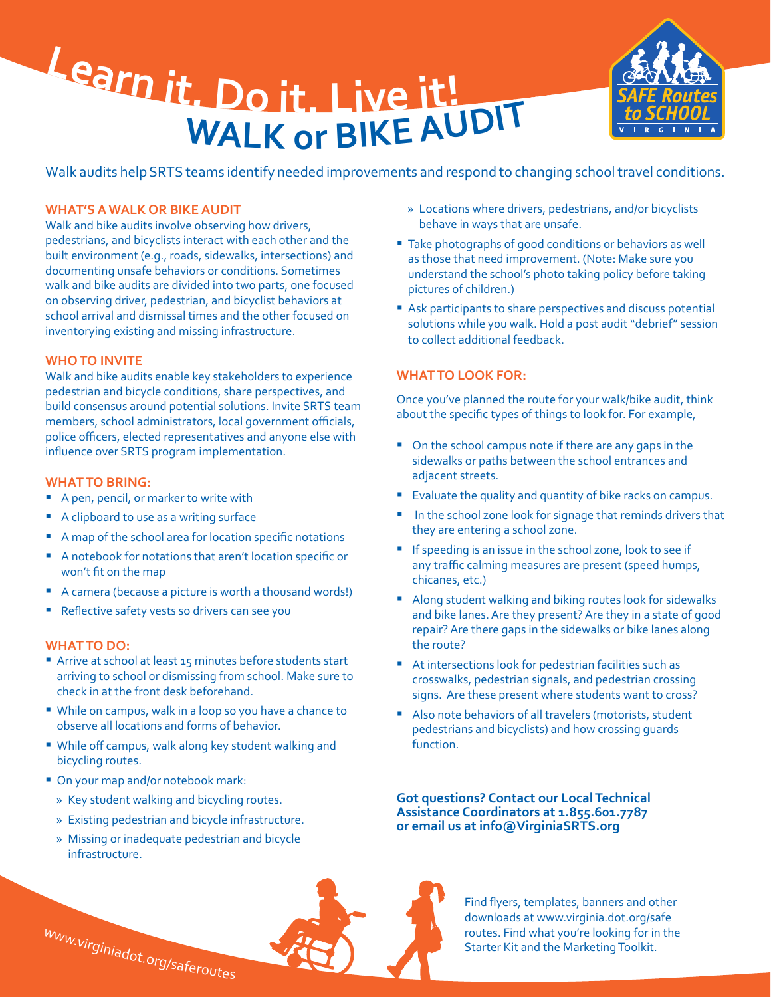Learn it. Do it. Live it! WALK or BIKE AUDIT



Walk audits help SRTS teams identify needed improvements and respond to changing school travel conditions.

## **WHAT'S A WALK OR BIKE AUDIT**

Walk and bike audits involve observing how drivers, pedestrians, and bicyclists interact with each other and the built environment (e.g., roads, sidewalks, intersections) and documenting unsafe behaviors or conditions. Sometimes walk and bike audits are divided into two parts, one focused on observing driver, pedestrian, and bicyclist behaviors at school arrival and dismissal times and the other focused on inventorying existing and missing infrastructure.

## **WHO TO INVITE**

Walk and bike audits enable key stakeholders to experience pedestrian and bicycle conditions, share perspectives, and build consensus around potential solutions. Invite SRTS team members, school administrators, local government officials, police officers, elected representatives and anyone else with influence over SRTS program implementation.

## **WHAT TO BRING:**

- A pen, pencil, or marker to write with
- A clipboard to use as a writing surface
- A map of the school area for location specific notations
- A notebook for notations that aren't location specific or won't fit on the map
- A camera (because a picture is worth a thousand words!)
- Reflective safety vests so drivers can see you

## **WHAT TO DO:**

- Arrive at school at least 15 minutes before students start arriving to school or dismissing from school. Make sure to check in at the front desk beforehand.
- � While on campus, walk in a loop so you have a chance to observe all locations and forms of behavior.
- � While off campus, walk along key student walking and bicycling routes.
- On your map and/or notebook mark:
	- » Key student walking and bicycling routes.
	- » Existing pedestrian and bicycle infrastructure.
	- » Missing or inadequate pedestrian and bicycle infrastructure.

# www.virginiadot.org/saferoutes

- » Locations where drivers, pedestrians, and/or bicyclists behave in ways that are unsafe.
- Take photographs of good conditions or behaviors as well as those that need improvement. (Note: Make sure you understand the school's photo taking policy before taking pictures of children.)
- Ask participants to share perspectives and discuss potential solutions while you walk. Hold a post audit "debrief" session to collect additional feedback.

# **WHAT TO LOOK FOR:**

Once you've planned the route for your walk/bike audit, think about the specific types of things to look for. For example,

- On the school campus note if there are any gaps in the sidewalks or paths between the school entrances and adjacent streets.
- **Evaluate the quality and quantity of bike racks on campus.**
- In the school zone look for signage that reminds drivers that they are entering a school zone.
- **If speeding is an issue in the school zone, look to see if** any traffic calming measures are present (speed humps, chicanes, etc.)
- � Along student walking and biking routes look for sidewalks and bike lanes. Are they present? Are they in a state of good repair? Are there gaps in the sidewalks or bike lanes along the route?
- At intersections look for pedestrian facilities such as crosswalks, pedestrian signals, and pedestrian crossing signs. Are these present where students want to cross?
- Also note behaviors of all travelers (motorists, student pedestrians and bicyclists) and how crossing guards function.

**Got questions? Contact our Local Technical Assistance Coordinators at 1.855.601.7787 or email us at info@VirginiaSRTS.org**



Find flyers, templates, banners and other downloads at www.virginia.dot.org/safe routes. Find what you're looking for in the Starter Kit and the Marketing Toolkit.